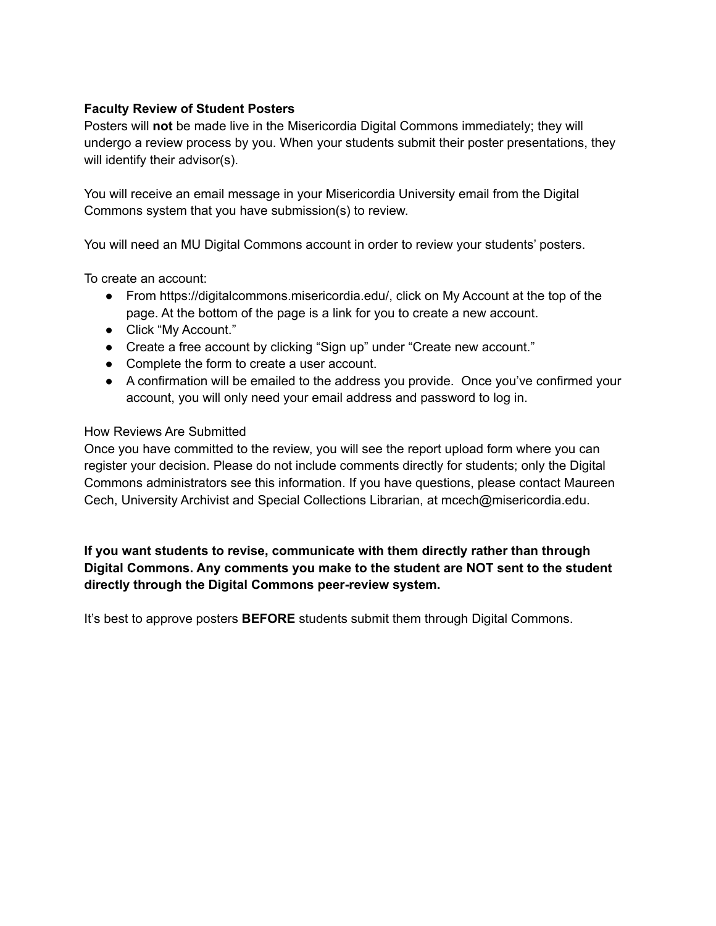## **Faculty Review of Student Posters**

Posters will **not** be made live in the Misericordia Digital Commons immediately; they will undergo a review process by you. When your students submit their poster presentations, they will identify their advisor(s).

You will receive an email message in your Misericordia University email from the Digital Commons system that you have submission(s) to review.

You will need an MU Digital Commons account in order to review your students' posters.

To create an account:

- From https://digitalcommons.misericordia.edu/, click on My Account at the top of the page. At the bottom of the page is a link for you to create a new account.
- Click "My Account."
- Create a free account by clicking "Sign up" under "Create new account."
- Complete the form to create a user account.
- A confirmation will be emailed to the address you provide. Once you've confirmed your account, you will only need your email address and password to log in.

## How Reviews Are Submitted

Once you have committed to the review, you will see the report upload form where you can register your decision. Please do not include comments directly for students; only the Digital Commons administrators see this information. If you have questions, please contact Maureen Cech, University Archivist and Special Collections Librarian, at mcech@misericordia.edu.

## **If you want students to revise, communicate with them directly rather than through Digital Commons. Any comments you make to the student are NOT sent to the student directly through the Digital Commons peer-review system.**

It's best to approve posters **BEFORE** students submit them through Digital Commons.